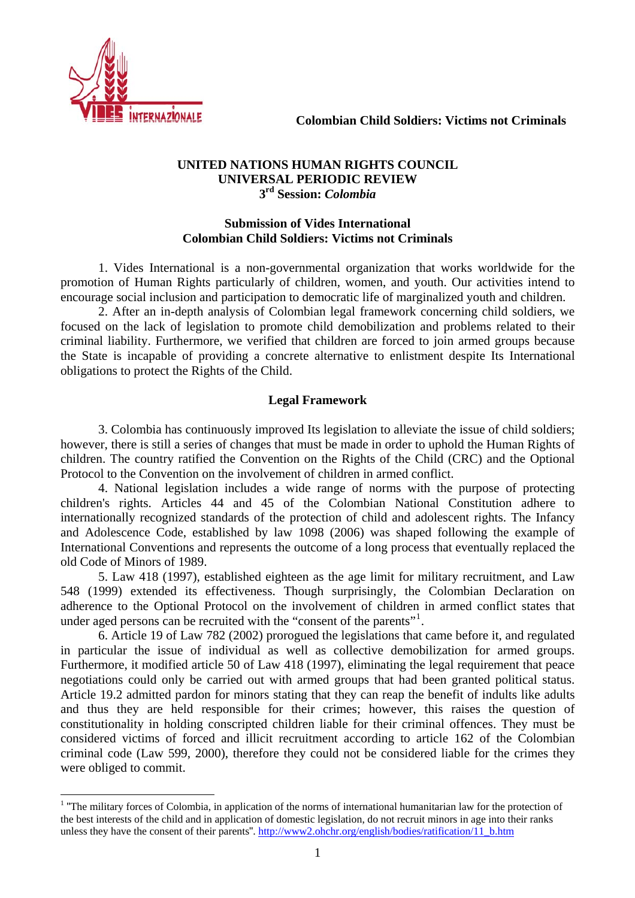

 $\overline{a}$ 

### **UNITED NATIONS HUMAN RIGHTS COUNCIL UNIVERSAL PERIODIC REVIEW 3rd Session:** *Colombia*

## **Submission of Vides International Colombian Child Soldiers: Victims not Criminals**

 1. Vides International is a non-governmental organization that works worldwide for the promotion of Human Rights particularly of children, women, and youth. Our activities intend to encourage social inclusion and participation to democratic life of marginalized youth and children.

2. After an in-depth analysis of Colombian legal framework concerning child soldiers, we focused on the lack of legislation to promote child demobilization and problems related to their criminal liability. Furthermore, we verified that children are forced to join armed groups because the State is incapable of providing a concrete alternative to enlistment despite Its International obligations to protect the Rights of the Child.

# **Legal Framework**

 3. Colombia has continuously improved Its legislation to alleviate the issue of child soldiers; however, there is still a series of changes that must be made in order to uphold the Human Rights of children. The country ratified the Convention on the Rights of the Child (CRC) and the Optional Protocol to the Convention on the involvement of children in armed conflict.

 4. National legislation includes a wide range of norms with the purpose of protecting children's rights. Articles 44 and 45 of the Colombian National Constitution adhere to internationally recognized standards of the protection of child and adolescent rights. The Infancy and Adolescence Code, established by law 1098 (2006) was shaped following the example of International Conventions and represents the outcome of a long process that eventually replaced the old Code of Minors of 1989.

 5. Law 418 (1997), established eighteen as the age limit for military recruitment, and Law 548 (1999) extended its effectiveness. Though surprisingly, the Colombian Declaration on adherence to the Optional Protocol on the involvement of children in armed conflict states that under aged persons can be recruited with the "consent of the parents"<sup>[1](#page-0-0)</sup>.

 6. Article 19 of Law 782 (2002) prorogued the legislations that came before it, and regulated in particular the issue of individual as well as collective demobilization for armed groups. Furthermore, it modified article 50 of Law 418 (1997), eliminating the legal requirement that peace negotiations could only be carried out with armed groups that had been granted political status. Article 19.2 admitted pardon for minors stating that they can reap the benefit of indults like adults and thus they are held responsible for their crimes; however, this raises the question of constitutionality in holding conscripted children liable for their criminal offences. They must be considered victims of forced and illicit recruitment according to article 162 of the Colombian criminal code (Law 599, 2000), therefore they could not be considered liable for the crimes they were obliged to commit.

<span id="page-0-0"></span> $1$  "The military forces of Colombia, in application of the norms of international humanitarian law for the protection of the best interests of the child and in application of domestic legislation, do not recruit minors in age into their ranks unless they have the consent of their parents". [http://www2.ohchr.org/english/bodies/ratification/11\\_b.htm](http://www2.ohchr.org/english/bodies/ratification/11_b.htm)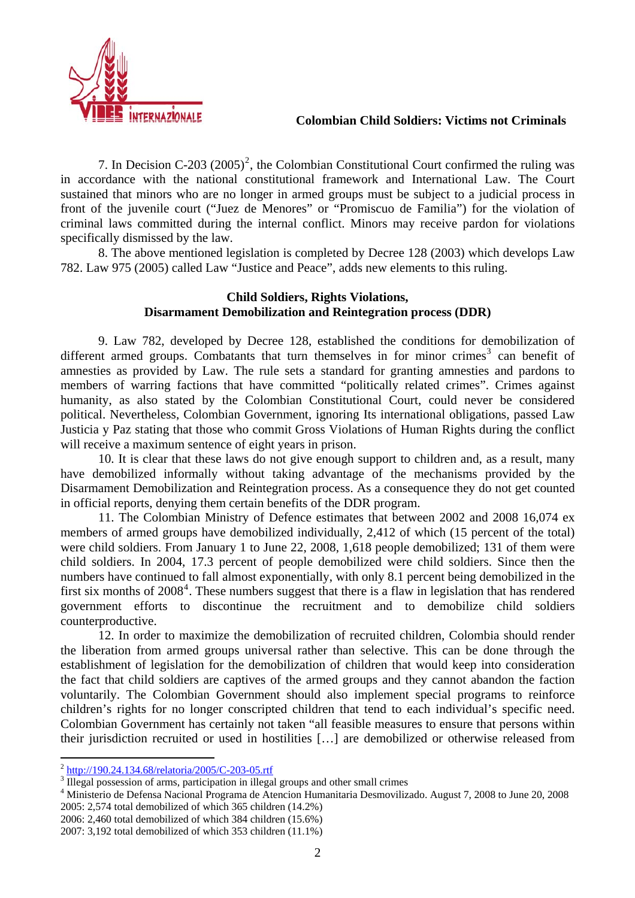

7. In Decision C-[2](#page-1-0)03  $(2005)^2$ , the Colombian Constitutional Court confirmed the ruling was in accordance with the national constitutional framework and International Law. The Court sustained that minors who are no longer in armed groups must be subject to a judicial process in front of the juvenile court ("Juez de Menores" or "Promiscuo de Familia") for the violation of criminal laws committed during the internal conflict. Minors may receive pardon for violations specifically dismissed by the law.

 8. The above mentioned legislation is completed by Decree 128 (2003) which develops Law 782. Law 975 (2005) called Law "Justice and Peace", adds new elements to this ruling.

## **Child Soldiers, Rights Violations, Disarmament Demobilization and Reintegration process (DDR)**

 9. Law 782, developed by Decree 128, established the conditions for demobilization of different armed groups. Combatants that turn themselves in for minor crimes<sup>[3](#page-1-1)</sup> can benefit of amnesties as provided by Law. The rule sets a standard for granting amnesties and pardons to members of warring factions that have committed "politically related crimes". Crimes against humanity, as also stated by the Colombian Constitutional Court, could never be considered political. Nevertheless, Colombian Government, ignoring Its international obligations, passed Law Justicia y Paz stating that those who commit Gross Violations of Human Rights during the conflict will receive a maximum sentence of eight years in prison.

 10. It is clear that these laws do not give enough support to children and, as a result, many have demobilized informally without taking advantage of the mechanisms provided by the Disarmament Demobilization and Reintegration process. As a consequence they do not get counted in official reports, denying them certain benefits of the DDR program.

 11. The Colombian Ministry of Defence estimates that between 2002 and 2008 16,074 ex members of armed groups have demobilized individually, 2,412 of which (15 percent of the total) were child soldiers. From January 1 to June 22, 2008, 1,618 people demobilized; 131 of them were child soldiers. In 2004, 17.3 percent of people demobilized were child soldiers. Since then the numbers have continued to fall almost exponentially, with only 8.1 percent being demobilized in the first six months of  $2008<sup>4</sup>$  $2008<sup>4</sup>$  $2008<sup>4</sup>$ . These numbers suggest that there is a flaw in legislation that has rendered government efforts to discontinue the recruitment and to demobilize child soldiers counterproductive.

 12. In order to maximize the demobilization of recruited children, Colombia should render the liberation from armed groups universal rather than selective. This can be done through the establishment of legislation for the demobilization of children that would keep into consideration the fact that child soldiers are captives of the armed groups and they cannot abandon the faction voluntarily. The Colombian Government should also implement special programs to reinforce children's rights for no longer conscripted children that tend to each individual's specific need. Colombian Government has certainly not taken "all feasible measures to ensure that persons within their jurisdiction recruited or used in hostilities […] are demobilized or otherwise released from

 $\overline{a}$ 

2006: 2,460 total demobilized of which 384 children (15.6%)

<span id="page-1-0"></span><sup>&</sup>lt;sup>2</sup> <http://190.24.134.68/relatoria/2005/C-203-05.rtf>

<span id="page-1-1"></span> $\frac{3}{4}$  Illegal possession of arms, participation in illegal groups and other small crimes  $\frac{4}{4}$  Ministeria de Defense Negional Programe de Atoneion Humanitaria Desmovilization

<span id="page-1-2"></span>Ministerio de Defensa Nacional Programa de Atencion Humanitaria Desmovilizado. August 7, 2008 to June 20, 2008 2005: 2,574 total demobilized of which 365 children (14.2%)

<sup>2007: 3,192</sup> total demobilized of which 353 children (11.1%)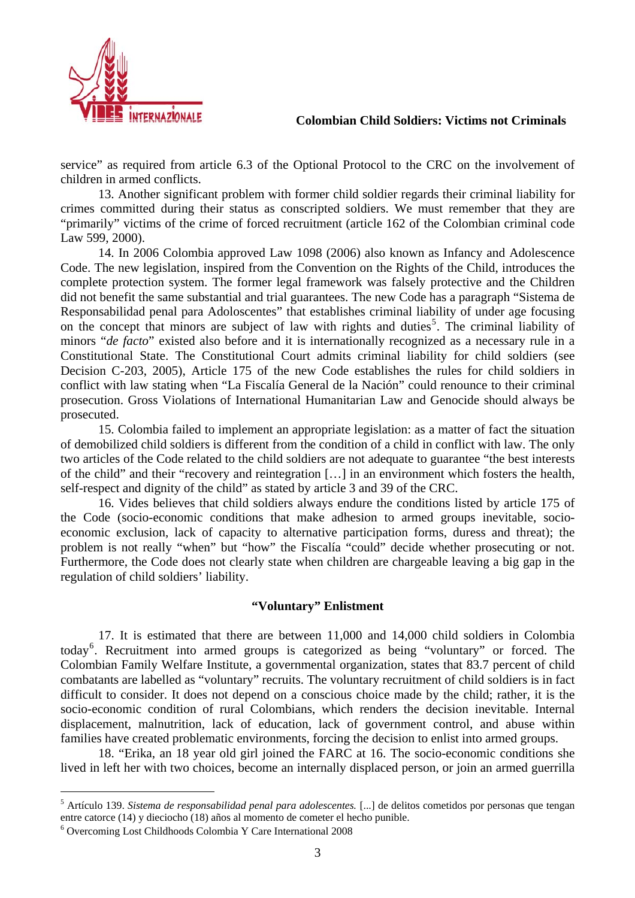

service" as required from article 6.3 of the Optional Protocol to the CRC on the involvement of children in armed conflicts.

 13. Another significant problem with former child soldier regards their criminal liability for crimes committed during their status as conscripted soldiers. We must remember that they are "primarily" victims of the crime of forced recruitment (article 162 of the Colombian criminal code Law 599, 2000).

 14. In 2006 Colombia approved Law 1098 (2006) also known as Infancy and Adolescence Code. The new legislation, inspired from the Convention on the Rights of the Child, introduces the complete protection system. The former legal framework was falsely protective and the Children did not benefit the same substantial and trial guarantees. The new Code has a paragraph "Sistema de Responsabilidad penal para Adoloscentes" that establishes criminal liability of under age focusing on the concept that minors are subject of law with rights and duties<sup>[5](#page-2-0)</sup>. The criminal liability of minors "*de facto*" existed also before and it is internationally recognized as a necessary rule in a Constitutional State. The Constitutional Court admits criminal liability for child soldiers (see Decision C-203, 2005), Article 175 of the new Code establishes the rules for child soldiers in conflict with law stating when "La Fiscalía General de la Nación" could renounce to their criminal prosecution. Gross Violations of International Humanitarian Law and Genocide should always be prosecuted.

 15. Colombia failed to implement an appropriate legislation: as a matter of fact the situation of demobilized child soldiers is different from the condition of a child in conflict with law. The only two articles of the Code related to the child soldiers are not adequate to guarantee "the best interests of the child" and their "recovery and reintegration […] in an environment which fosters the health, self-respect and dignity of the child" as stated by article 3 and 39 of the CRC.

 16. Vides believes that child soldiers always endure the conditions listed by article 175 of the Code (socio-economic conditions that make adhesion to armed groups inevitable, socioeconomic exclusion, lack of capacity to alternative participation forms, duress and threat); the problem is not really "when" but "how" the Fiscalía "could" decide whether prosecuting or not. Furthermore, the Code does not clearly state when children are chargeable leaving a big gap in the regulation of child soldiers' liability.

### **"Voluntary" Enlistment**

17. It is estimated that there are between 11,000 and 14,000 child soldiers in Colombia today<sup>[6](#page-2-1)</sup>. Recruitment into armed groups is categorized as being "voluntary" or forced. The Colombian Family Welfare Institute, a governmental organization, states that 83.7 percent of child combatants are labelled as "voluntary" recruits. The voluntary recruitment of child soldiers is in fact difficult to consider. It does not depend on a conscious choice made by the child; rather, it is the socio-economic condition of rural Colombians, which renders the decision inevitable. Internal displacement, malnutrition, lack of education, lack of government control, and abuse within families have created problematic environments, forcing the decision to enlist into armed groups.

18. "Erika, an 18 year old girl joined the FARC at 16. The socio-economic conditions she lived in left her with two choices, become an internally displaced person, or join an armed guerrilla

 $\overline{a}$ 

<span id="page-2-0"></span><sup>5</sup> Artículo 139. *Sistema de responsabilidad penal para adolescentes.* [...] de delitos cometidos por personas que tengan entre catorce (14) y dieciocho (18) años al momento de cometer el hecho punible.

<span id="page-2-1"></span><sup>6</sup> Overcoming Lost Childhoods Colombia Y Care International 2008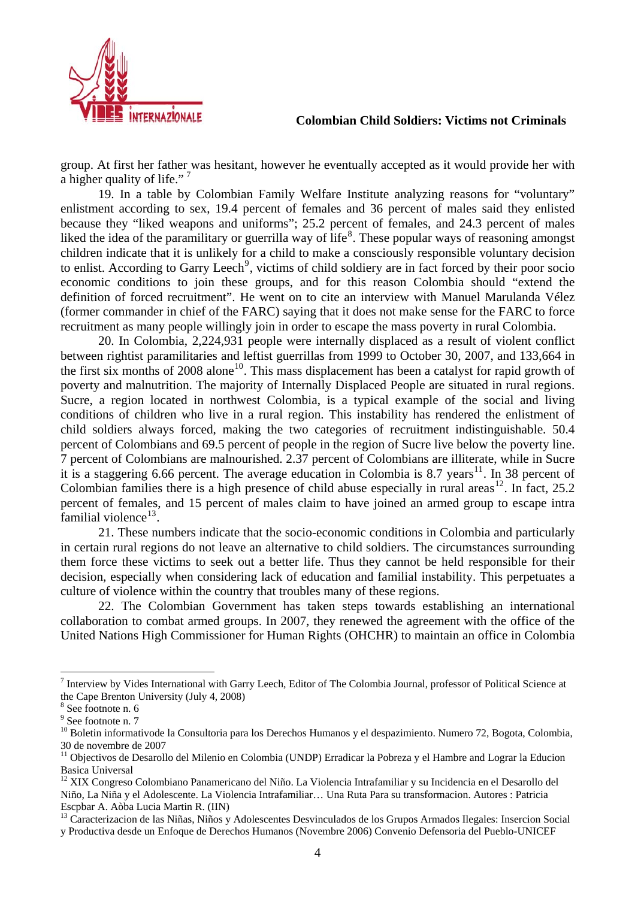

group. At first her father was hesitant, however he eventually accepted as it would provide her with a higher quality of life."<sup>[7](#page-3-0)</sup>

 19. In a table by Colombian Family Welfare Institute analyzing reasons for "voluntary" enlistment according to sex, 19.4 percent of females and 36 percent of males said they enlisted because they "liked weapons and uniforms"; 25.2 percent of females, and 24.3 percent of males liked the idea of the paramilitary or guerrilla way of life<sup>[8](#page-3-1)</sup>. These popular ways of reasoning amongst children indicate that it is unlikely for a child to make a consciously responsible voluntary decision to enlist. According to Garry Leech<sup>[9](#page-3-2)</sup>, victims of child soldiery are in fact forced by their poor socio economic conditions to join these groups, and for this reason Colombia should "extend the definition of forced recruitment". He went on to cite an interview with Manuel Marulanda Vélez (former commander in chief of the FARC) saying that it does not make sense for the FARC to force recruitment as many people willingly join in order to escape the mass poverty in rural Colombia.

 20. In Colombia, 2,224,931 people were internally displaced as a result of violent conflict between rightist paramilitaries and leftist guerrillas from 1999 to October 30, 2007, and 133,664 in the first six months of 2008 alone<sup>[10](#page-3-3)</sup>. This mass displacement has been a catalyst for rapid growth of poverty and malnutrition. The majority of Internally Displaced People are situated in rural regions. Sucre, a region located in northwest Colombia, is a typical example of the social and living conditions of children who live in a rural region. This instability has rendered the enlistment of child soldiers always forced, making the two categories of recruitment indistinguishable. 50.4 percent of Colombians and 69.5 percent of people in the region of Sucre live below the poverty line. 7 percent of Colombians are malnourished. 2.37 percent of Colombians are illiterate, while in Sucre it is a staggering 6.66 percent. The average education in Colombia is 8.7 years<sup>[11](#page-3-4)</sup>. In 38 percent of Colombian families there is a high presence of child abuse especially in rural areas<sup>[12](#page-3-5)</sup>. In fact, 25.2 percent of females, and 15 percent of males claim to have joined an armed group to escape intra familial violence $^{13}$  $^{13}$  $^{13}$ .

 21. These numbers indicate that the socio-economic conditions in Colombia and particularly in certain rural regions do not leave an alternative to child soldiers. The circumstances surrounding them force these victims to seek out a better life. Thus they cannot be held responsible for their decision, especially when considering lack of education and familial instability. This perpetuates a culture of violence within the country that troubles many of these regions.

 22. The Colombian Government has taken steps towards establishing an international collaboration to combat armed groups. In 2007, they renewed the agreement with the office of the United Nations High Commissioner for Human Rights (OHCHR) to maintain an office in Colombia

 $\overline{a}$ 

<sup>13</sup> Caracterizacion de las Niñas, Niños y Adolescentes Desvinculados de los Grupos Armados Ilegales: Insercion Social

<span id="page-3-0"></span> $^7$  Interview by Vides International with Garry Leech, Editor of The Colombia Journal, professor of Political Science at the Cape Brenton University (July 4, 2008)

<span id="page-3-1"></span><sup>8</sup> See footnote n. 6

<sup>&</sup>lt;sup>9</sup> See footnote n. 7

<span id="page-3-3"></span><span id="page-3-2"></span><sup>&</sup>lt;sup>10</sup> Boletin informativode la Consultoria para los Derechos Humanos y el despazimiento. Numero 72, Bogota, Colombia, 30 de novembre de 2007

<span id="page-3-4"></span><sup>&</sup>lt;sup>11</sup> Objectivos de Desarollo del Milenio en Colombia (UNDP) Erradicar la Pobreza y el Hambre and Lograr la Educion Basica Universal

<span id="page-3-5"></span><sup>&</sup>lt;sup>12</sup> XIX Congreso Colombiano Panamericano del Niño. La Violencia Intrafamiliar y su Incidencia en el Desarollo del Niño, La Niña y el Adolescente. La Violencia Intrafamiliar… Una Ruta Para su transformacion. Autores : Patricia Escpbar A. Aòba Lucia Martin R. (IIN)

<span id="page-3-6"></span>y Productiva desde un Enfoque de Derechos Humanos (Novembre 2006) Convenio Defensoria del Pueblo-UNICEF